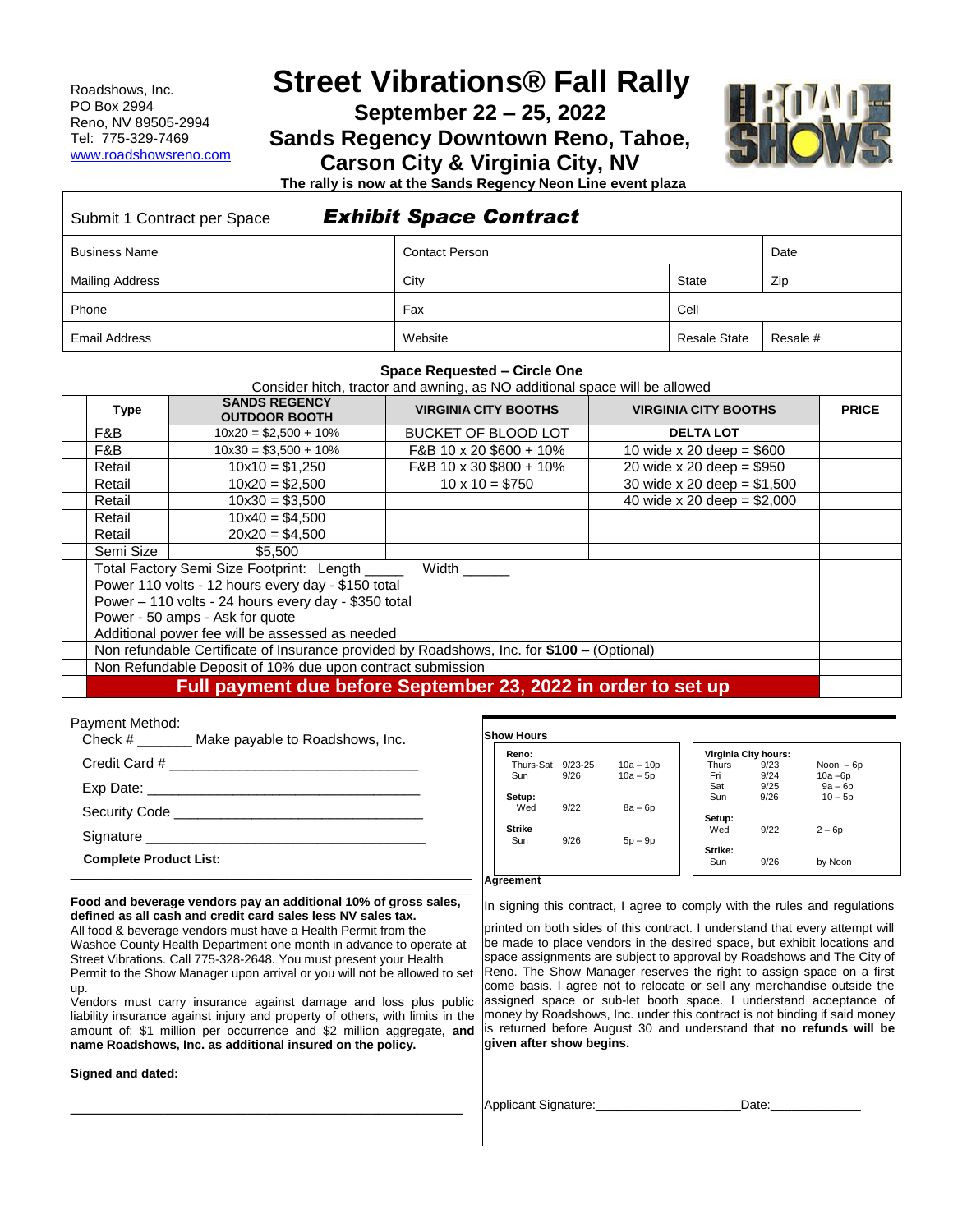Roadshows, Inc. PO Box 2994 Reno, NV 89505-2994 Tel: 775-329-7469 www.roadshowsreno.com

# **Street Vibrations® Fall Rally**

**September 22 – 25, 2022**

**Sands Regency Downtown Reno, Tahoe,**

**Carson City & Virginia City, NV**



**The rally is now at the Sands Regency Neon Line event plaza**

|                                                      | Submit 1 Contract per Space                        | <b>Exhibit Space Contract</b>                                                                              |  |                               |          |              |  |
|------------------------------------------------------|----------------------------------------------------|------------------------------------------------------------------------------------------------------------|--|-------------------------------|----------|--------------|--|
| <b>Business Name</b>                                 |                                                    | <b>Contact Person</b>                                                                                      |  |                               | Date     |              |  |
| <b>Mailing Address</b>                               |                                                    | City                                                                                                       |  | <b>State</b>                  | Zip      |              |  |
| Phone                                                |                                                    | Fax                                                                                                        |  | Cell                          |          |              |  |
| <b>Email Address</b>                                 |                                                    | Website                                                                                                    |  | <b>Resale State</b>           | Resale # |              |  |
|                                                      |                                                    | Space Requested - Circle One<br>Consider hitch, tractor and awning, as NO additional space will be allowed |  |                               |          |              |  |
| <b>Type</b>                                          | <b>SANDS REGENCY</b><br><b>OUTDOOR BOOTH</b>       | <b>VIRGINIA CITY BOOTHS</b>                                                                                |  | <b>VIRGINIA CITY BOOTHS</b>   |          | <b>PRICE</b> |  |
| F&B                                                  | $10x20 = $2,500 + 10\%$                            | <b>BUCKET OF BLOOD LOT</b>                                                                                 |  | <b>DELTA LOT</b>              |          |              |  |
| F&B                                                  | $10x30 = $3,500 + 10\%$                            | F&B 10 x 20 \$600 + 10%                                                                                    |  | 10 wide x 20 deep = $$600$    |          |              |  |
| Retail                                               | $10x10 = $1,250$                                   | F&B 10 x 30 \$800 + 10%                                                                                    |  | 20 wide $x 20$ deep = \$950   |          |              |  |
| Retail                                               | $10x20 = $2,500$                                   | $10 \times 10 = $750$                                                                                      |  | 30 wide $x 20$ deep = \$1,500 |          |              |  |
| Retail                                               | $10x30 = $3,500$                                   |                                                                                                            |  | 40 wide x 20 deep = $$2,000$  |          |              |  |
| Retail                                               | $10x40 = $4,500$                                   |                                                                                                            |  |                               |          |              |  |
| Retail                                               | $20x20 = $4,500$                                   |                                                                                                            |  |                               |          |              |  |
| Semi Size                                            | \$5,500                                            |                                                                                                            |  |                               |          |              |  |
|                                                      | Total Factory Semi Size Footprint: Length          | Width                                                                                                      |  |                               |          |              |  |
|                                                      | Power 110 volts - 12 hours every day - \$150 total |                                                                                                            |  |                               |          |              |  |
| Power - 110 volts - 24 hours every day - \$350 total |                                                    |                                                                                                            |  |                               |          |              |  |
| Power - 50 amps - Ask for quote                      |                                                    |                                                                                                            |  |                               |          |              |  |
|                                                      | Additional power fee will be assessed as needed    |                                                                                                            |  |                               |          |              |  |

Non refundable Certificate of Insurance provided by Roadshows, Inc. for **\$100** – (Optional)

Non Refundable Deposit of 10% due upon contract submission

# **Full payment due before September 23, 2022 in order to set up**

#### Payment Method:

|                               | Check # Make payable to Roadshows, Inc.       |  |
|-------------------------------|-----------------------------------------------|--|
|                               |                                               |  |
|                               |                                               |  |
|                               | Security Code <b>Example 20</b> Security Code |  |
|                               |                                               |  |
| <b>Complete Product List:</b> |                                               |  |
|                               |                                               |  |

#### \_\_\_\_\_\_\_\_\_\_\_\_\_\_\_\_\_\_\_\_\_\_\_\_\_\_\_\_\_\_\_\_\_\_\_\_\_\_\_\_\_\_\_\_\_\_\_\_\_\_\_\_\_\_\_\_\_\_ **Food and beverage vendors pay an additional 10% of gross sales, defined as all cash and credit card sales less NV sales tax.**

All food & beverage vendors must have a Health Permit from the Washoe County Health Department one month in advance to operate at Street Vibrations. Call 775-328-2648. You must present your Health Permit to the Show Manager upon arrival or you will not be allowed to set up.

Vendors must carry insurance against damage and loss plus public liability insurance against injury and property of others, with limits in the amount of: \$1 million per occurrence and \$2 million aggregate, **and name Roadshows, Inc. as additional insured on the policy.**

\_\_\_\_\_\_\_\_\_\_\_\_\_\_\_\_\_\_\_\_\_\_\_\_\_\_\_\_\_\_\_\_\_\_\_\_\_\_\_\_\_\_

#### **Signed and dated:**

| Reno:         |             |             | Virginia City hours: |      |            |  |
|---------------|-------------|-------------|----------------------|------|------------|--|
| Thurs-Sat     | $9/23 - 25$ | $10a - 10p$ | <b>Thurs</b>         | 9/23 | Noon $-6p$ |  |
| Sun           | 9/26        | $10a - 5p$  | Fri                  | 9/24 | $10a - 6p$ |  |
|               |             |             | Sat                  | 9/25 | $9a - 6p$  |  |
| Setup:        |             |             | Sun                  | 9/26 | $10 - 5p$  |  |
| Wed           | 9/22        | 8a – 6p     |                      |      |            |  |
|               |             |             | Setup:               |      |            |  |
| <b>Strike</b> |             |             | Wed                  | 9/22 | $2-6p$     |  |
| Sun           | 9/26        | $5p - 9p$   |                      |      |            |  |
|               |             |             | Strike:              |      |            |  |
|               |             |             | Sun                  | 9/26 | by Noon    |  |

## **Agreement**

In signing this contract, I agree to comply with the rules and regulations

printed on both sides of this contract. I understand that every attempt will be made to place vendors in the desired space, but exhibit locations and space assignments are subject to approval by Roadshows and The City of Reno. The Show Manager reserves the right to assign space on a first come basis. I agree not to relocate or sell any merchandise outside the assigned space or sub-let booth space. I understand acceptance of money by Roadshows, Inc. under this contract is not binding if said money is returned before August 30 and understand that **no refunds will be given after show begins.** 

Applicant Signature: Date: